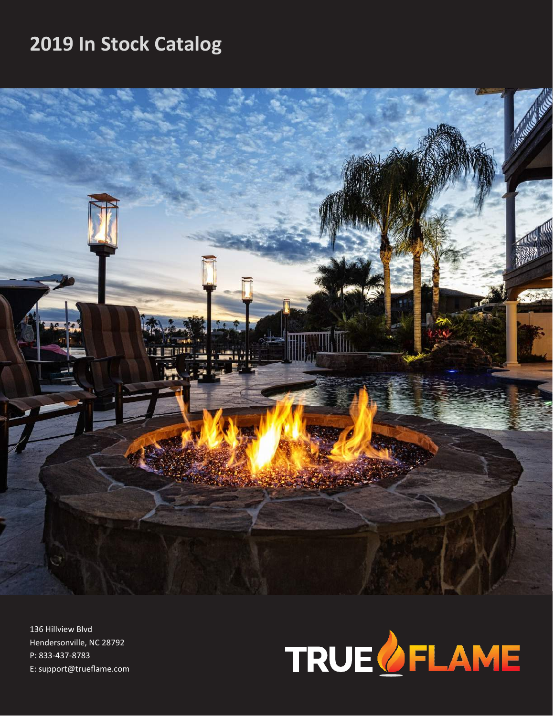# **2019 In Stock Catalog**



136 Hillview Blvd Hendersonville, NC 28792 P: 833-437-8783 E: support@trueflame.com

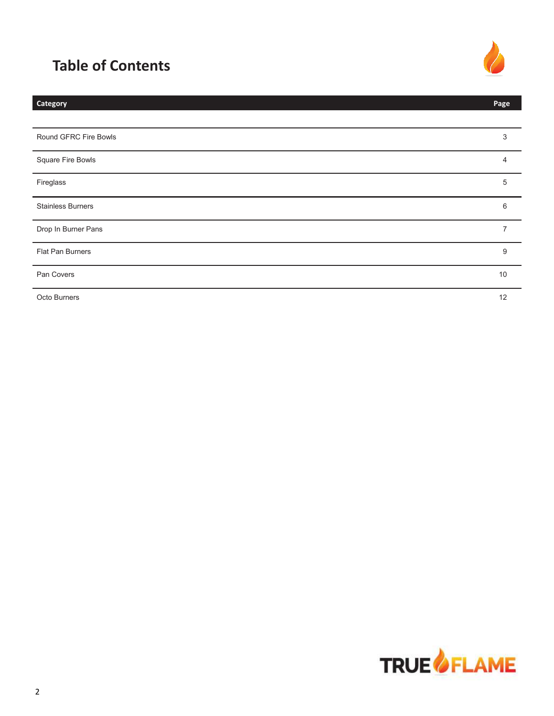# **Table of Contents**



| <b>Category</b>          | Page           |
|--------------------------|----------------|
|                          |                |
| Round GFRC Fire Bowls    | 3              |
| Square Fire Bowls        | 4              |
| Fireglass                | 5              |
| <b>Stainless Burners</b> | 6              |
| Drop In Burner Pans      | $\overline{7}$ |
| Flat Pan Burners         | 9              |
| Pan Covers               | 10             |
| Octo Burners             | 12             |

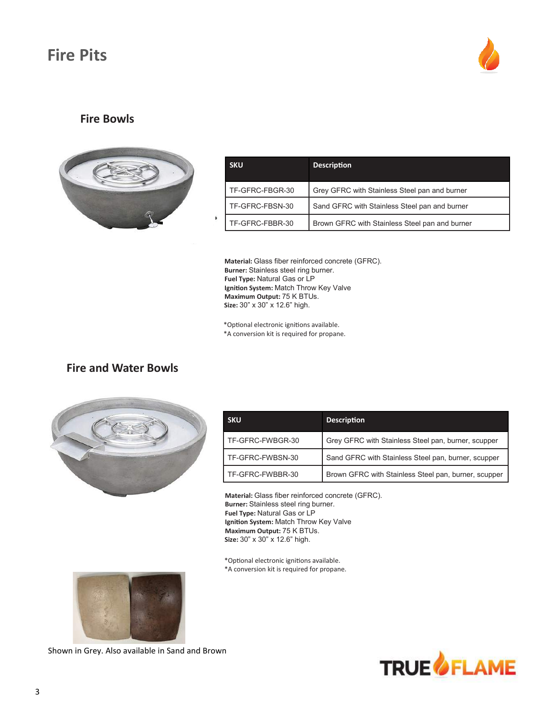# **Fire Pits**



#### **Fire Bowls**



| <b>SKU</b>      | <b>Description</b>                             |
|-----------------|------------------------------------------------|
| TF-GFRC-FBGR-30 | Grey GFRC with Stainless Steel pan and burner  |
| TF-GFRC-FBSN-30 | Sand GFRC with Stainless Steel pan and burner  |
| TF-GFRC-FBBR-30 | Brown GFRC with Stainless Steel pan and burner |

**Material:** Glass fiber reinforced concrete (GFRC). **Burner:** Stainless steel ring burner. **Fuel Type:** Natural Gas or LP **Ignition System:** Match Throw Key Valve **Maximum Output:** 75 K BTUs.  **Size:** 30" x 30" x 12.6" high.

\*Optional electronic ignitions available. \*A conversion kit is required for propane.

## **Fire and Water Bowls**



| <b>SKU</b>       | <b>Description</b>                                   |
|------------------|------------------------------------------------------|
| TF-GFRC-FWBGR-30 | Grey GFRC with Stainless Steel pan, burner, scupper  |
| TF-GFRC-FWBSN-30 | Sand GFRC with Stainless Steel pan, burner, scupper  |
| TF-GFRC-FWBBR-30 | Brown GFRC with Stainless Steel pan, burner, scupper |

**Material:** Glass fiber reinforced concrete (GFRC). **Burner:** Stainless steel ring burner. **Fuel Type:** Natural Gas or LP **Ignition System:** Match Throw Key Valve **Maximum Output:** 75 K BTUs.  **Size:** 30" x 30" x 12.6" high.

\*Optional electronic ignitions available. \*A conversion kit is required for propane.



Shown in Grey. Also available in Sand and Brown

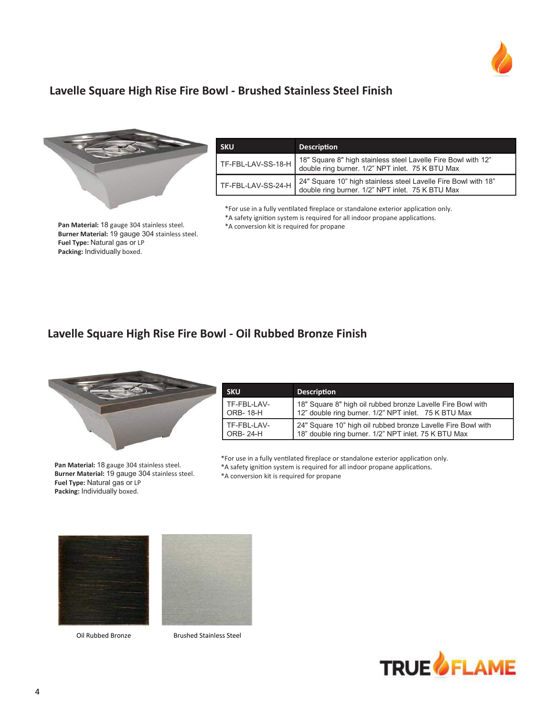

### **Lavelle Square High Rise Fire Bowl - Brushed Stainless Steel Finish**



**SKU Description** TF-FBL-LAV-SS-18-H 18" Square 8" high stainless steel Lavelle Fire Bowl with 12" double ring burner. 1/2" NPT inlet. 75 K BTU Max TF-FBL-LAV-SS-24-H 24" Square 10" high stainless steel Lavelle Fire Bowl with 18" double ring burner. 1/2" NPT inlet. 75 K BTU Max

\*For use in a fully ventilated fireplace or standalone exterior application only. \*A safety ignition system is required for all indoor propane applications. \*A conversion kit is required for propane

**Pan Material:** 18 gauge 304 stainless steel. **Burner Material:** 19 gauge 304 stainless steel. **Fuel Type:** Natural gas or LP **Packing:** Individually boxed.

#### **Lavelle Square High Rise Fire Bowl - Oil Rubbed Bronze Finish**



**Pan Material:** 18 gauge 304 stainless steel. **Burner Material:** 19 gauge 304 stainless steel. **Fuel Type:** Natural gas or LP **Packing:** Individually boxed.

| <b>SKU.</b> | <b>Description</b>                                           |
|-------------|--------------------------------------------------------------|
| TF-FBL-LAV- | 18" Square 8" high oil rubbed bronze Lavelle Fire Bowl with  |
| ORB- 18-H   | 12" double ring burner. 1/2" NPT inlet. 75 K BTU Max         |
| TF-FBL-LAV- | 24" Square 10" high oil rubbed bronze Lavelle Fire Bowl with |
| ORB- 24-H   | 18" double ring burner. 1/2" NPT inlet. 75 K BTU Max         |

\*For use in a fully ventilated fireplace or standalone exterior application only.

\*A safety ignition system is required for all indoor propane applications.

\*A conversion kit is required for propane



Oil Rubbed Bronze Brushed Stainless Steel

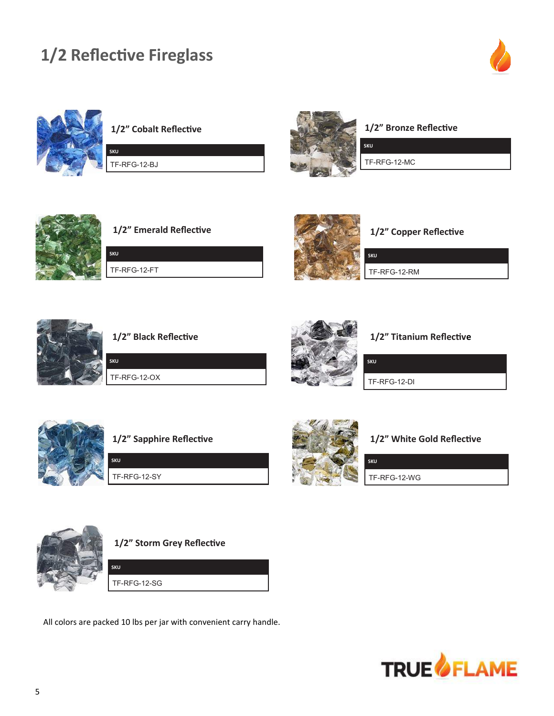# **1/2 Reflective Fireglass**







TF-RFG-12-BJ

**SKU**

**SKU**



**1/2" Bronze Reflective**

TF-RFG-12-MC



**1/2" Emerald Reflective**

TF-RFG-12-FT



**1/2" Copper Reflective**

**SKU** TF-RFG-12-RM



**1/2" Black Reflective**

TF-RFG-12-OX

**SKU**



#### **1/2" Titanium Reflective**

TF-RFG-12-DI

**SKU**



**1/2" Sapphire Reflective**

TF-RFG-12-SY

**SKU**



#### **1/2" White Gold Reflective**

TF-RFG-12-WG



**1/2" Storm Grey Reflective**

TF-RFG-12-SG

**SKU**

All colors are packed 10 lbs per jar with convenient carry handle.

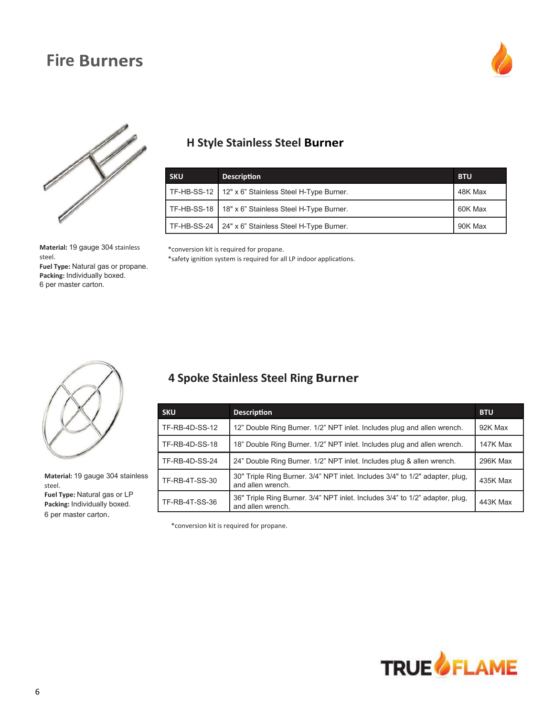# **Fire Burners**





**Material:** 19 gauge 304 stainless steel.

**Fuel Type:** Natural gas or propane. **Packing:** Individually boxed. 6 per master carton.

## **H Style Stainless Steel**

| <b>SKU</b> | <b>Description</b>                                    | <b>BTU</b> |
|------------|-------------------------------------------------------|------------|
|            | TF-HB-SS-12   12" x 6" Stainless Steel H-Type Burner. | 48K Max    |
|            | TF-HB-SS-18   18" x 6" Stainless Steel H-Type Burner. | 60K Max    |
|            | TF-HB-SS-24   24" x 6" Stainless Steel H-Type Burner. | 90K Max    |

\*conversion kit is required for propane.

\*safety ignition system is required for all LP indoor applications.



**Material:** 19 gauge 304 stainless steel.

**Fuel Type:** Natural gas or LP **Packing:** Individually boxed. 6 per master carton.

## **4 Spoke Stainless Steel Ring**

| <b>SKU</b>            | <b>Description</b>                                                                                | <b>BTU</b> |
|-----------------------|---------------------------------------------------------------------------------------------------|------------|
| TF-RB-4D-SS-12        | 12" Double Ring Burner. 1/2" NPT inlet. Includes plug and allen wrench.                           | 92K Max    |
| TF-RB-4D-SS-18        | 18" Double Ring Burner. 1/2" NPT inlet. Includes plug and allen wrench.                           | 147K Max   |
| <b>TF-RB-4D-SS-24</b> | 24" Double Ring Burner. 1/2" NPT inlet. Includes plug & allen wrench.                             | 296K Max   |
| TF-RB-4T-SS-30        | 30" Triple Ring Burner. 3/4" NPT inlet. Includes 3/4" to 1/2" adapter, plug,<br>and allen wrench. | 435K Max   |
| TF-RB-4T-SS-36        | 36" Triple Ring Burner. 3/4" NPT inlet. Includes 3/4" to 1/2" adapter, plug,<br>and allen wrench. | 443K Max   |

\*conversion kit is required for propane.

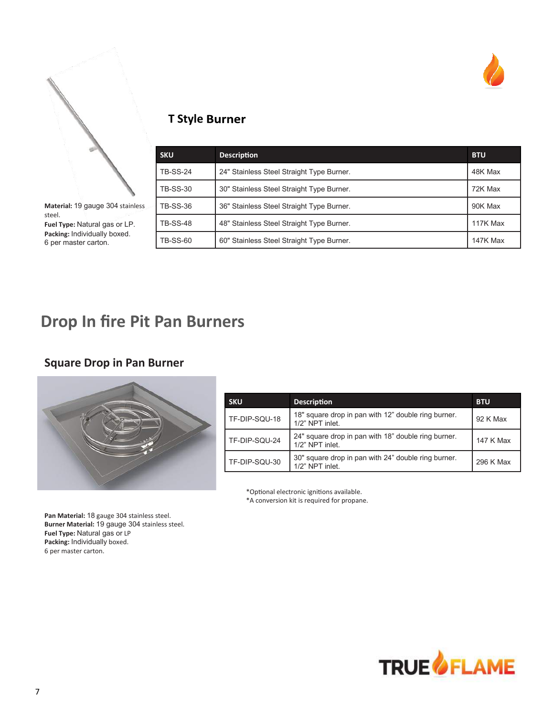



**Material:** 19 gauge 304 stainless steel. **Fuel Type:** Natural gas or LP. **Packing:** Individually boxed. 6 per master carton.

## **T Style Burner**

| <b>SKU</b>      | <b>Description</b>                        | <b>BTU</b>      |
|-----------------|-------------------------------------------|-----------------|
| <b>TB-SS-24</b> | 24" Stainless Steel Straight Type Burner. | 48K Max         |
| <b>TB-SS-30</b> | 30" Stainless Steel Straight Type Burner. | 72K Max         |
| <b>TB-SS-36</b> | 36" Stainless Steel Straight Type Burner. | 90K Max         |
| <b>TB-SS-48</b> | 48" Stainless Steel Straight Type Burner. | 117K Max        |
| <b>TB-SS-60</b> | 60" Stainless Steel Straight Type Burner. | <b>147K Max</b> |

# **Drop In fire Pit Pan Burners**

### **Square Drop in Pan Burner**



| <b>SKU</b>    | <b>Description</b>                                                     | <b>BTU</b> |
|---------------|------------------------------------------------------------------------|------------|
| TF-DIP-SQU-18 | 18" square drop in pan with 12" double ring burner.<br>1/2" NPT inlet. | 92 K Max   |
| TF-DIP-SQU-24 | 24" square drop in pan with 18" double ring burner.<br>1/2" NPT inlet. | 147 K Max  |
| TF-DIP-SQU-30 | 30" square drop in pan with 24" double ring burner.<br>1/2" NPT inlet. | 296 K Max  |

\*Optional electronic ignitions available.

\*A conversion kit is required for propane.

**Pan Material:** 18 gauge 304 stainless steel. **Burner Material:** 19 gauge 304 stainless steel. **Fuel Type:** Natural gas or LP **Packing:** Individually boxed. 6 per master carton.

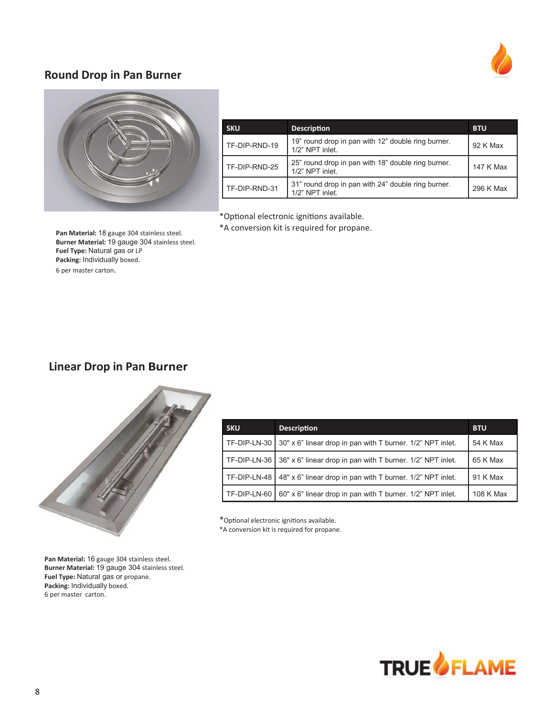#### **Round Drop in Pan Burner**





| <b>SKU</b>    | <b>Description</b>                                                    | <b>BTU</b> |
|---------------|-----------------------------------------------------------------------|------------|
| TF-DIP-RND-19 | 19" round drop in pan with 12" double ring burner.<br>1/2" NPT inlet. | 92 K Max   |
| TF-DIP-RND-25 | 25" round drop in pan with 18" double ring burner.<br>1/2" NPT inlet. | 147 K Max  |
| TF-DIP-RND-31 | 31" round drop in pan with 24" double ring burner.<br>1/2" NPT inlet. | 296 K Max  |

\*Optional electronic ignitions available.

\*A conversion kit is required for propane.

**Pan Material:** 18 gauge 304 stainless steel. **Burner Material:** 19 gauge 304 stainless steel. **Fuel Type:** Natural gas or LP **Packing:** Individually boxed. 6 per master carton.

## **Linear Drop in Pan**



| <b>SKU</b>   | <b>Description</b>                                         | <b>BTU</b> |
|--------------|------------------------------------------------------------|------------|
| TF-DIP-LN-30 | 30" x 6" linear drop in pan with T burner. 1/2" NPT inlet. | 54 K Max   |
| TF-DIP-LN-36 | 36" x 6" linear drop in pan with T burner. 1/2" NPT inlet. | 65 K Max   |
| TF-DIP-LN-48 | 48" x 6" linear drop in pan with T burner. 1/2" NPT inlet. | 91 K Max   |
| TF-DIP-LN-60 | 60" x 6" linear drop in pan with T burner. 1/2" NPT inlet. | 108 K Max  |

\*Optional electronic ignitions available. \*A conversion kit is required for propane.

**Pan Material:** 16 gauge 304 stainless steel. **Burner Material:** 19 gauge 304 stainless steel. **Fuel Type:** Natural gas or propane. **Packing:** Individually boxed. 6 per master carton.

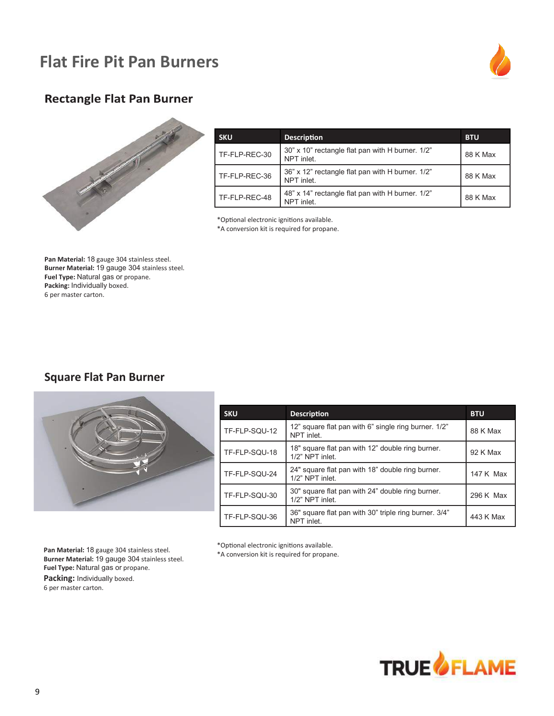# **Flat Fire Pit Pan Burners**



### **Rectangle Flat Pan Burner**



| <b>SKU</b>    | <b>Description</b>                                             | <b>BTU</b> |
|---------------|----------------------------------------------------------------|------------|
| TF-FLP-REC-30 | 30" x 10" rectangle flat pan with H burner. 1/2"<br>NPT inlet. | 88 K Max   |
| TF-FLP-REC-36 | 36" x 12" rectangle flat pan with H burner. 1/2"<br>NPT inlet. | 88 K Max   |
| TF-FLP-REC-48 | 48" x 14" rectangle flat pan with H burner. 1/2"<br>NPT inlet. | 88 K Max   |

\*Optional electronic ignitions available.

\*A conversion kit is required for propane.

**Pan Material:** 18 gauge 304 stainless steel. **Burner Material:** 19 gauge 304 stainless steel. **Fuel Type:** Natural gas or propane. **Packing:** Individually boxed. 6 per master carton.

#### **Square Flat Pan Burner**



| <b>SKU</b>    | <b>Description</b>                                                  | <b>BTU</b> |
|---------------|---------------------------------------------------------------------|------------|
| TF-FLP-SQU-12 | 12" square flat pan with 6" single ring burner. 1/2"<br>NPT inlet.  | 88 K Max   |
| TF-FLP-SQU-18 | 18" square flat pan with 12" double ring burner.<br>1/2" NPT inlet. | 92 K Max   |
| TF-FLP-SQU-24 | 24" square flat pan with 18" double ring burner.<br>1/2" NPT inlet. | 147 K Max  |
| TF-FLP-SQU-30 | 30" square flat pan with 24" double ring burner.<br>1/2" NPT inlet. | 296 K Max  |
| TF-FLP-SQU-36 | 36" square flat pan with 30" triple ring burner. 3/4"<br>NPT inlet. | 443 K Max  |

**Pan Material:** 18 gauge 304 stainless steel. **Burner Material:** 19 gauge 304 stainless steel. **Fuel Type:** Natural gas or propane. **Packing:** Individually boxed. 6 per master carton.

\*Optional electronic ignitions available. \*A conversion kit is required for propane.

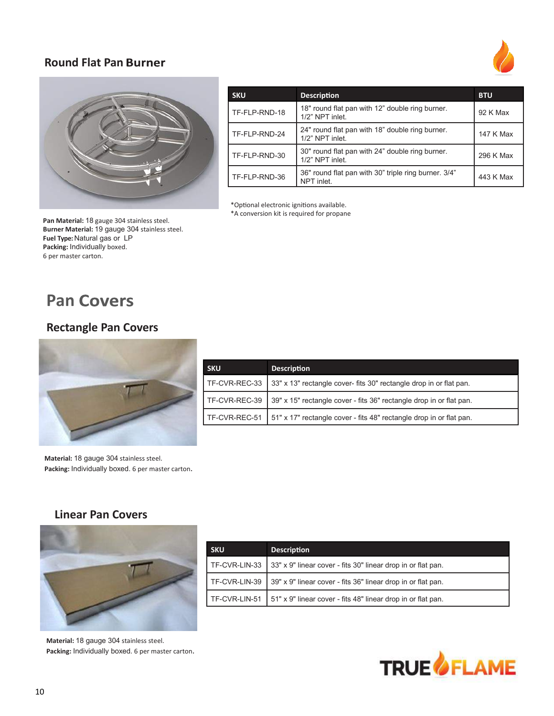#### **Round Flat Pan**





| <b>SKU</b>    | <b>Description</b>                                                 | <b>BTU</b> |
|---------------|--------------------------------------------------------------------|------------|
| TF-FLP-RND-18 | 18" round flat pan with 12" double ring burner.<br>1/2" NPT inlet. | 92 K Max   |
| TF-FLP-RND-24 | 24" round flat pan with 18" double ring burner.<br>1/2" NPT inlet. | 147 K Max  |
| TF-FLP-RND-30 | 30" round flat pan with 24" double ring burner.<br>1/2" NPT inlet. | 296 K Max  |
| TF-FLP-RND-36 | 36" round flat pan with 30" triple ring burner. 3/4"<br>NPT inlet. | 443 K Max  |

\*Optional electronic ignitions available.

\*A conversion kit is required for propane

**Pan Material:** 18 gauge 304 stainless steel. **Burner Material:** 19 gauge 304 stainless steel. **Fuel Type:** Natural gas or LP **Packing:** Individually boxed. 6 per master carton.

# **Pan Covers**

## **Rectangle Pan Covers**



| <b>SKU</b>    | <b>Description</b>                                                  |
|---------------|---------------------------------------------------------------------|
| TF-CVR-REC-33 | 33" x 13" rectangle cover- fits 30" rectangle drop in or flat pan.  |
| TF-CVR-REC-39 | 39" x 15" rectangle cover - fits 36" rectangle drop in or flat pan. |
| TF-CVR-REC-51 | 51" x 17" rectangle cover - fits 48" rectangle drop in or flat pan. |

**Material:** 18 gauge 304 stainless steel. **Packing:** Individually boxed. 6 per master carton.

#### **Linear Pan Covers**



**Material:** 18 gauge 304 stainless steel. **Packing:** Individually boxed. 6 per master carton.

| <b>SKU</b>    | <b>Description</b>                                           |
|---------------|--------------------------------------------------------------|
| TF-CVR-LIN-33 | 33" x 9" linear cover - fits 30" linear drop in or flat pan. |
| TF-CVR-LIN-39 | 39" x 9" linear cover - fits 36" linear drop in or flat pan. |
| TF-CVR-LIN-51 | 51" x 9" linear cover - fits 48" linear drop in or flat pan. |

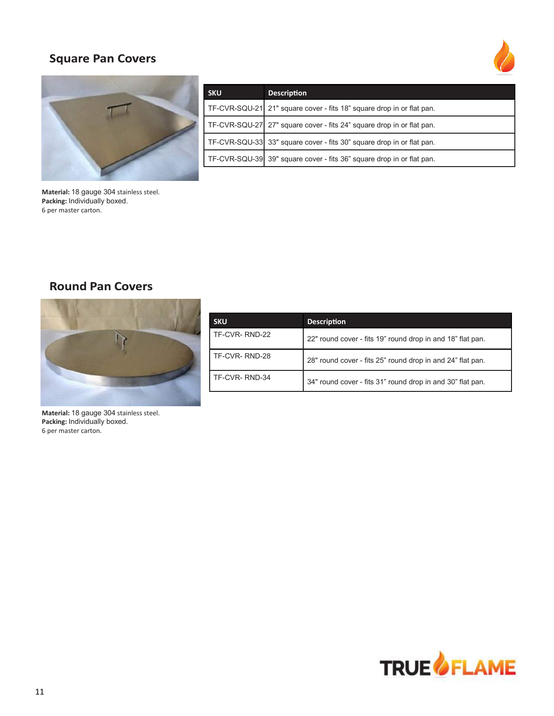## **Square Pan Covers**





| <b>SKU</b> | <b>Description</b>                                                     |
|------------|------------------------------------------------------------------------|
|            | TF-CVR-SQU-21  21" square cover - fits 18" square drop in or flat pan. |
|            | TF-CVR-SQU-27 27" square cover - fits 24" square drop in or flat pan.  |
|            | TF-CVR-SQU-33 33" square cover - fits 30" square drop in or flat pan.  |
|            | TF-CVR-SQU-39 39" square cover - fits 36" square drop in or flat pan.  |

**Material:** 18 gauge 304 stainless steel. **Packing:** Individually boxed. 6 per master carton.

## **Round Pan Covers**



| <b>SKU</b>    | <b>Description</b>                                         |
|---------------|------------------------------------------------------------|
| TF-CVR-RND-22 | 22" round cover - fits 19" round drop in and 18" flat pan. |
| TF-CVR-RND-28 | 28" round cover - fits 25" round drop in and 24" flat pan. |
| TF-CVR-RND-34 | 34" round cover - fits 31" round drop in and 30" flat pan. |

**Material:** 18 gauge 304 stainless steel. **Packing:** Individually boxed. 6 per master carton.